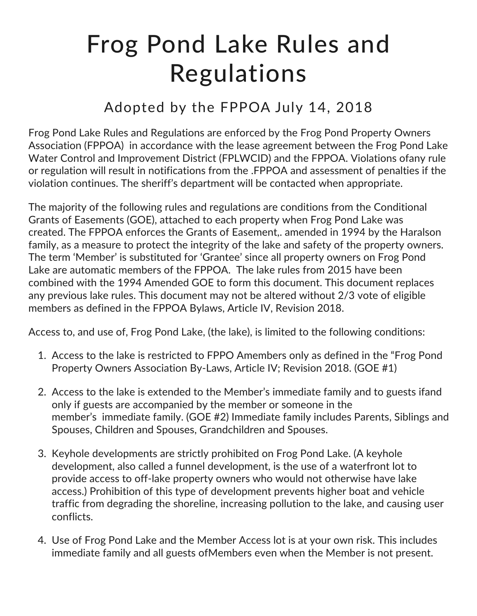## Frog Pond Lake Rules and Regulations

## Adopted by the FPPOA July 14, 2018

Frog Pond Lake Rules and Regulations are enforced by the Frog Pond Property Owners Association (FPPOA) in accordance with the lease agreement between the Frog Pond Lake Water Control and Improvement District (FPLWCID) and the FPPOA. Violations ofany rule or regulation will result in notifications from the .FPPOA and assessment of penalties if the violation continues. The sheriff's department will be contacted when appropriate.

The majority of the following rules and regulations are conditions from the Conditional Grants of Easements (GOE), attached to each property when Frog Pond Lake was created. The FPPOA enforces the Grants of Easement,. amended in 1994 by the Haralson family, as a measure to protect the integrity of the lake and safety of the property owners. The term 'Member' is substituted for 'Grantee' since all property owners on Frog Pond Lake are automatic members of the FPPOA. The lake rules from 2015 have been combined with the 1994 Amended GOE to form this document. This document replaces any previous lake rules. This document may not be altered without 2/3 vote of eligible members as defined in the FPPOA Bylaws, Article IV, Revision 2018.

Access to, and use of, Frog Pond Lake, (the lake), is limited to the following conditions:

- 1. Access to the lake is restricted to FPPO Amembers only as defined in the "Frog Pond Property Owners Association By-Laws, Article IV; Revision 2018. (GOE #1)
- 2. Access to the lake is extended to the Member's immediate family and to guests ifand only if guests are accompanied by the member or someone in the member's immediate family. (GOE #2) Immediate family includes Parents, Siblings and Spouses, Children and Spouses, Grandchildren and Spouses.
- 3. Keyhole developments are strictly prohibited on Frog Pond Lake. (A keyhole development, also called a funnel development, is the use of a waterfront lot to provide access to off-lake property owners who would not otherwise have lake access.) Prohibition of this type of development prevents higher boat and vehicle traffic from degrading the shoreline, increasing pollution to the lake, and causing user conflicts.
- 4. Use of Frog Pond Lake and the Member Access lot is at your own risk. This includes immediate family and all guests ofMembers even when the Member is not present.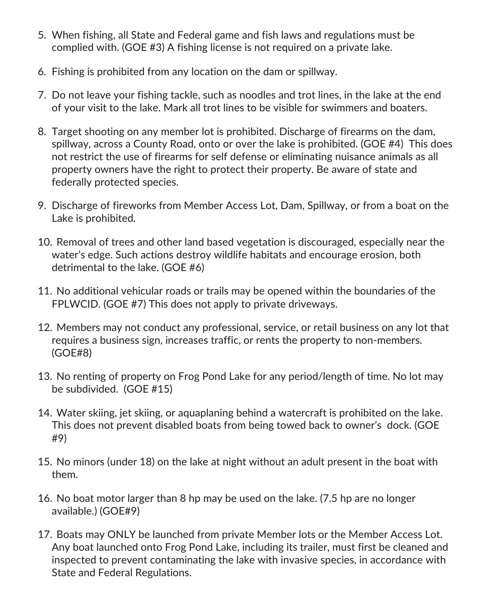- 5. When fishing, all State and Federal game and fish laws and regulations must be complied with. (GOE #3) A fishing license is not required on a private lake.
- 6. Fishing is prohibited from any location on the dam or spillway.
- 7. Do not leave your fishing tackle, such as noodles and trot lines, in the lake at the end of your visit to the lake. Mark all trot lines to be visible for swimmers and boaters.
- 8. Target shooting on any member lot is prohibited. Discharge of firearms on the dam, spillway, across a County Road, onto or over the lake is prohibited. (GOE #4) This does not restrict the use of firearms for self defense or eliminating nuisance animals as all property owners have the right to protect their property. Be aware of state and federally protected species.
- 9. Discharge of fireworks from Member Access Lot, Dam, Spillway, or from a boat on the Lake is prohibited.
- 10. Removal of trees and other land based vegetation is discouraged, especially near the water's edge. Such actions destroy wildlife habitats and encourage erosion, both detrimental to the lake. (GOE #6)
- 11. No additional vehicular roads or trails may be opened within the boundaries of the FPLWCID. (GOE #7) This does not apply to private driveways.
- 12. Members may not conduct any professional, service, or retail business on any lot that requires a business sign, increases traffic, or rents the property to non-members. (GOE#8)
- 13. No renting of property on Frog Pond Lake for any period/length of time. No lot may be subdivided. (GOE #15)
- 14. Water skiing, jet skiing, or aquaplaning behind a watercraft is prohibited on the lake. This does not prevent disabled boats from being towed back to owner's dock. (GOE #9)
- 15. No minors (under 18) on the lake at night without an adult present in the boat with them.
- 16. No boat motor larger than 8 hp may be used on the lake. (7.5 hp are no longer available.) (GOE#9)
- 17. Boats may ONLY be launched from private Member lots or the Member Access Lot. Any boat launched onto Frog Pond Lake, including its trailer, must first be cleaned and inspected to prevent contaminating the lake with invasive species, in accordance with State and Federal Regulations.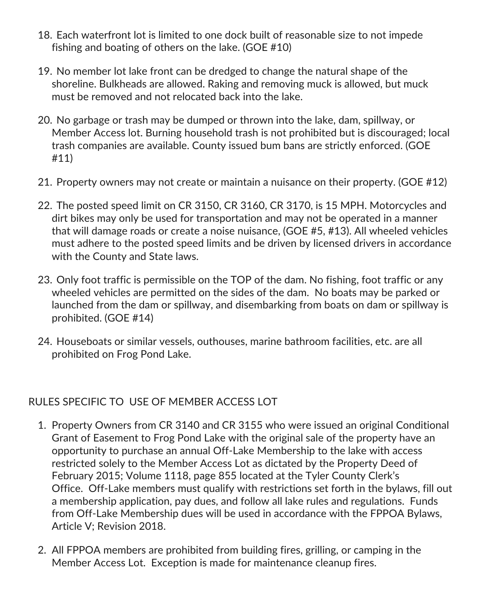- 18. Each waterfront lot is limited to one dock built of reasonable size to not impede fishing and boating of others on the lake. (GOE #10)
- 19. No member lot lake front can be dredged to change the natural shape of the shoreline. Bulkheads are allowed. Raking and removing muck is allowed, but muck must be removed and not relocated back into the lake.
- 20. No garbage or trash may be dumped or thrown into the lake, dam, spillway, or Member Access lot. Burning household trash is not prohibited but is discouraged; local trash companies are available. County issued bum bans are strictly enforced. (GOE #11)
- 21. Property owners may not create or maintain a nuisance on their property. (GOE #12)
- 22. The posted speed limit on CR 3150, CR 3160, CR 3170, is 15 MPH. Motorcycles and dirt bikes may only be used for transportation and may not be operated in a manner that will damage roads or create a noise nuisance, (GOE #5, #13). All wheeled vehicles must adhere to the posted speed limits and be driven by licensed drivers in accordance with the County and State laws.
- 23. Only foot traffic is permissible on the TOP of the dam. No fishing, foot traffic or any wheeled vehicles are permitted on the sides of the dam. No boats may be parked or launched from the dam or spillway, and disembarking from boats on dam or spillway is prohibited. (GOE #14)
- 24. Houseboats or similar vessels, outhouses, marine bathroom facilities, etc. are all prohibited on Frog Pond Lake.

## RULES SPECIFIC TO USE OF MEMBER ACCESS LOT

- 1. Property Owners from CR 3140 and CR 3155 who were issued an original Conditional Grant of Easement to Frog Pond Lake with the original sale of the property have an opportunity to purchase an annual Off-Lake Membership to the lake with access restricted solely to the Member Access Lot as dictated by the Property Deed of February 2015; Volume 1118, page 855 located at the Tyler County Clerk's Office. Off-Lake members must qualify with restrictions set forth in the bylaws, fill out a membership application, pay dues, and follow all lake rules and regulations. Funds from Off-Lake Membership dues will be used in accordance with the FPPOA Bylaws, Article V; Revision 2018.
- 2. All FPPOA members are prohibited from building fires, grilling, or camping in the Member Access Lot. Exception is made for maintenance cleanup fires.